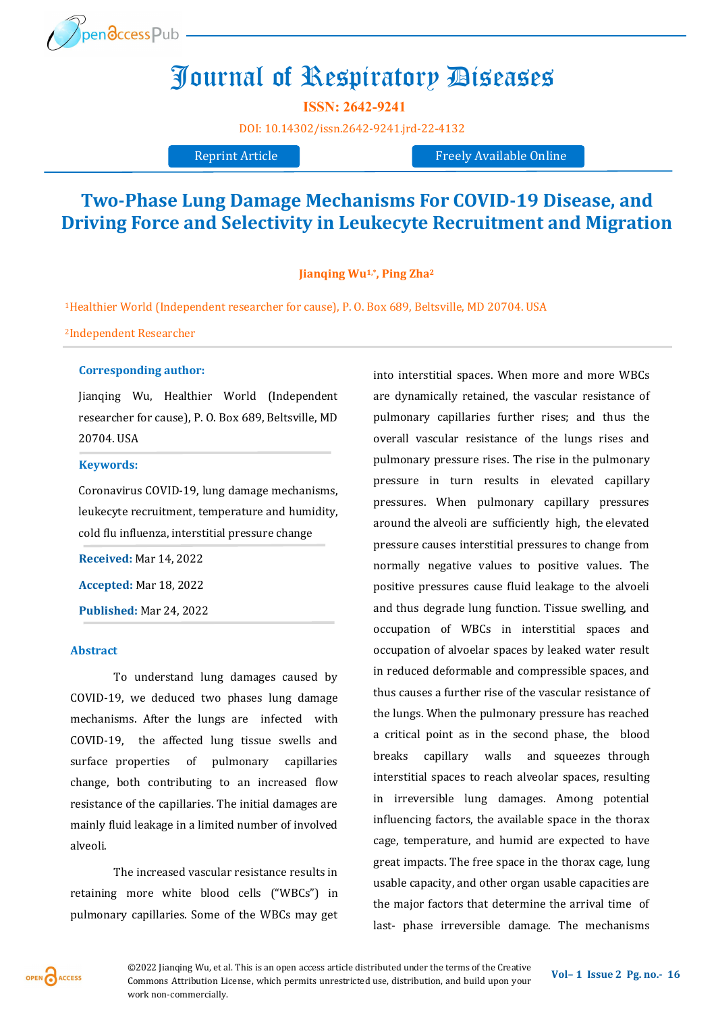

# Journal of Respiratory Diseases

**ISSN: 2642-9241**

[DOI:](https://doi.org/10.14302/issn.2639-3166.jar-21-3872) [10.14302/issn.2642](https://doi.org/10.14302/issn.2642-9241.jrd-22-4132)-9241.jrd-22-4132

Reprint Article **Freely** Available Online

## **Two-Phase Lung Damage Mechanisms For COVID-19 Disease, and Driving Force and Selectivity in Leukecyte Recruitment and Migration**

**Jianqing Wu1,\*, Ping Zha<sup>2</sup>**

<sup>1</sup>Healthier World (Independent researcher for cause), P. O. Box 689, Beltsville, MD 20704. USA

<sup>2</sup>Independent Researcher

#### **Corresponding author:**

Jianqing Wu, Healthier World (Independent researcher for cause), P. O. Box 689, Beltsville, MD 20704. USA

#### **Keywords:**

Coronavirus COVID-19, lung damage mechanisms, leukecyte recruitment, temperature and humidity, cold flu influenza, interstitial pressure change

**Received:** Mar 14, 2022

**Accepted:** Mar 18, 2022

**Published:** Mar 24, 2022

#### **Abstract**

To understand lung damages caused by COVID-19, we deduced two phases lung damage mechanisms. After the lungs are infected with COVID-19, the affected lung tissue swells and surface properties of pulmonary capillaries change, both contributing to an increased flow resistance of the capillaries. The initial damages are mainly fluid leakage in a limited number of involved alveoli.

The increased vascular resistance results in retaining more white blood cells ("WBCs") in pulmonary capillaries. Some of the WBCs may get into interstitial spaces. When more and more WBCs are dynamically retained, the vascular resistance of pulmonary capillaries further rises; and thus the overall vascular resistance of the lungs rises and pulmonary pressure rises. The rise in the pulmonary pressure in turn results in elevated capillary pressures. When pulmonary capillary pressures around the alveoli are sufficiently high, the elevated pressure causes interstitial pressures to change from normally negative values to positive values. The positive pressures cause fluid leakage to the alvoeli and thus degrade lung function. Tissue swelling, and occupation of WBCs in interstitial spaces and occupation of alvoelar spaces by leaked water result in reduced deformable and compressible spaces, and thus causes a further rise of the vascular resistance of the lungs. When the pulmonary pressure has reached a critical point as in the second phase, the blood breaks capillary walls and squeezes through interstitial spaces to reach alveolar spaces, resulting in irreversible lung damages. Among potential influencing factors, the available space in the thorax cage, temperature, and humid are expected to have great impacts. The free space in the thorax cage, lung usable capacity, and other organ usable capacities are the major factors that determine the arrival time of last- phase irreversible damage. The mechanisms

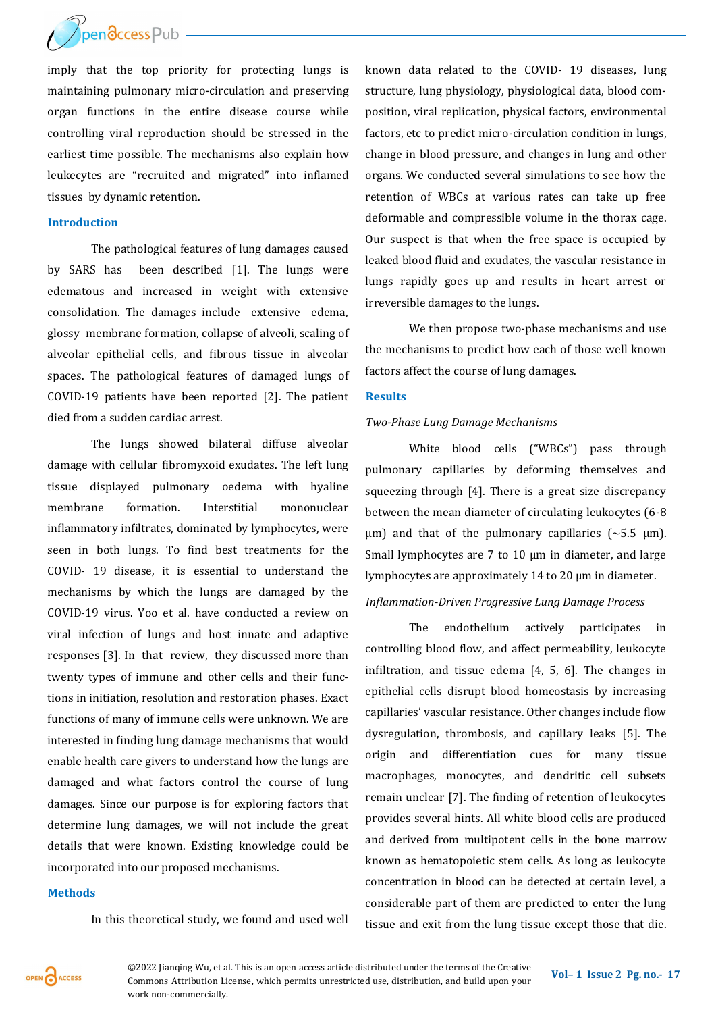

imply that the top priority for protecting lungs is maintaining pulmonary micro-circulation and preserving organ functions in the entire disease course while controlling viral reproduction should be stressed in the earliest time possible. The mechanisms also explain how leukecytes are "recruited and migrated" into inflamed tissues by dynamic retention.

#### **Introduction**

The pathological features of lung damages caused by SARS has been described [1]. The lungs were edematous and increased in weight with extensive consolidation. The damages include extensive edema, glossy membrane formation, collapse of alveoli, scaling of alveolar epithelial cells, and fibrous tissue in alveolar spaces. The pathological features of damaged lungs of COVID-19 patients have been reported [2]. The patient died from a sudden cardiac arrest.

The lungs showed bilateral diffuse alveolar damage with cellular fibromyxoid exudates. The left lung tissue displayed pulmonary oedema with hyaline membrane formation. Interstitial mononuclear inflammatory infiltrates, dominated by lymphocytes, were seen in both lungs. To find best treatments for the COVID- 19 disease, it is essential to understand the mechanisms by which the lungs are damaged by the COVID-19 virus. Yoo et al. have conducted a review on viral infection of lungs and host innate and adaptive responses [3]. In that review, they discussed more than twenty types of immune and other cells and their functions in initiation, resolution and restoration phases. Exact functions of many of immune cells were unknown. We are interested in finding lung damage mechanisms that would enable health care givers to understand how the lungs are damaged and what factors control the course of lung damages. Since our purpose is for exploring factors that determine lung damages, we will not include the great details that were known. Existing knowledge could be incorporated into our proposed mechanisms.

#### **Methods**

In this theoretical study, we found and used well

known data related to the COVID- 19 diseases, lung structure, lung physiology, physiological data, blood composition, viral replication, physical factors, environmental factors, etc to predict micro-circulation condition in lungs, change in blood pressure, and changes in lung and other organs. We conducted several simulations to see how the retention of WBCs at various rates can take up free deformable and compressible volume in the thorax cage. Our suspect is that when the free space is occupied by leaked blood fluid and exudates, the vascular resistance in lungs rapidly goes up and results in heart arrest or irreversible damages to the lungs.

We then propose two-phase mechanisms and use the mechanisms to predict how each of those well known factors affect the course of lung damages.

#### **Results**

#### *Two-Phase Lung Damage Mechanisms*

White blood cells ("WBCs") pass through pulmonary capillaries by deforming themselves and squeezing through [4]. There is a great size discrepancy between the mean diameter of circulating leukocytes (6-8  $\mu$ m) and that of the pulmonary capillaries (~5.5  $\mu$ m). Small lymphocytes are  $7$  to  $10 \mu m$  in diameter, and large lymphocytes are approximately 14 to 20 µm in diameter.

#### *Inflammation-Driven Progressive Lung Damage Process*

The endothelium actively participates in controlling blood flow, and affect permeability, leukocyte infiltration, and tissue edema [4, 5, 6]. The changes in epithelial cells disrupt blood homeostasis by increasing capillaries' vascular resistance. Other changes include flow dysregulation, thrombosis, and capillary leaks [5]. The origin and differentiation cues for many tissue macrophages, monocytes, and dendritic cell subsets remain unclear [7]. The finding of retention of leukocytes provides several hints. All white blood cells are produced and derived from multipotent cells in the bone marrow known as hematopoietic stem cells. As long as leukocyte concentration in blood can be detected at certain level, a considerable part of them are predicted to enter the lung tissue and exit from the lung tissue except those that die.



**©2022** Jianqing Wu, et al. This is an open access article distributed under the terms of the Creative **Vol–1** Issue 2 Pg. no.-17 Commons Attribution License, which permits unrestricted use, distribution, and build upon your work non-commercially.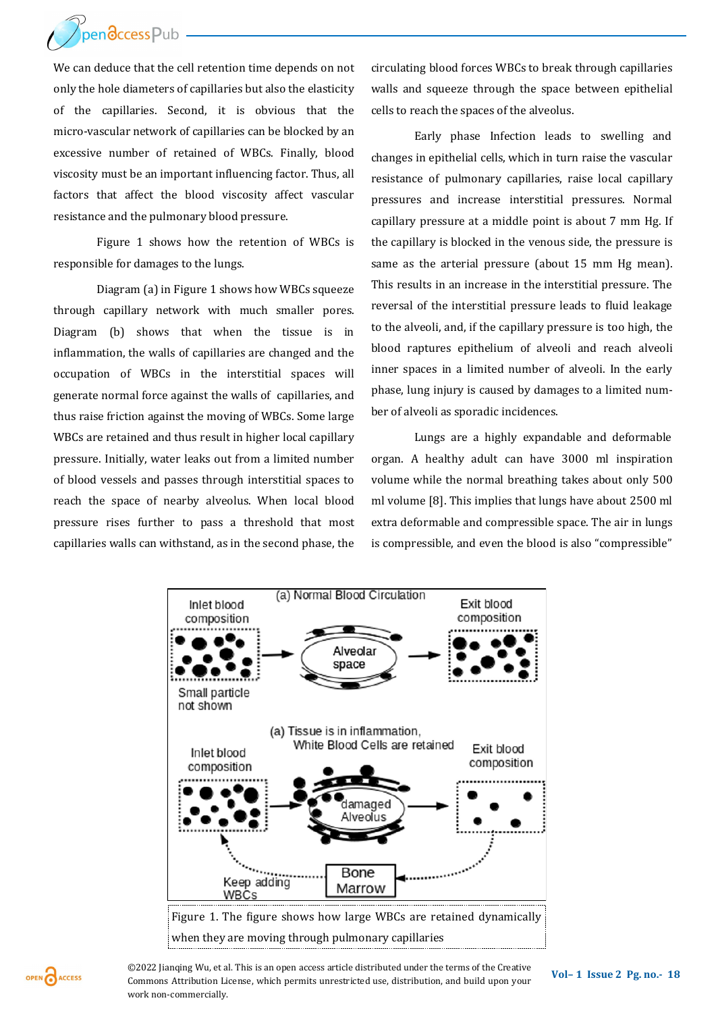

We can deduce that the cell retention time depends on not only the hole diameters of capillaries but also the elasticity of the capillaries. Second, it is obvious that the micro-vascular network of capillaries can be blocked by an excessive number of retained of WBCs. Finally, blood viscosity must be an important influencing factor. Thus, all factors that affect the blood viscosity affect vascular resistance and the pulmonary blood pressure.

Figure 1 shows how the retention of WBCs is responsible for damages to the lungs.

Diagram (a) in Figure 1 shows how WBCs squeeze through capillary network with much smaller pores. Diagram (b) shows that when the tissue is in inflammation, the walls of capillaries are changed and the occupation of WBCs in the interstitial spaces will generate normal force against the walls of capillaries, and thus raise friction against the moving of WBCs. Some large WBCs are retained and thus result in higher local capillary pressure. Initially, water leaks out from a limited number of blood vessels and passes through interstitial spaces to reach the space of nearby alveolus. When local blood pressure rises further to pass a threshold that most capillaries walls can withstand, as in the second phase, the circulating blood forces WBCs to break through capillaries walls and squeeze through the space between epithelial cells to reach the spaces of the alveolus.

Early phase Infection leads to swelling and changes in epithelial cells, which in turn raise the vascular resistance of pulmonary capillaries, raise local capillary pressures and increase interstitial pressures. Normal capillary pressure at a middle point is about 7 mm Hg. If the capillary is blocked in the venous side, the pressure is same as the arterial pressure (about 15 mm Hg mean). This results in an increase in the interstitial pressure. The reversal of the interstitial pressure leads to fluid leakage to the alveoli, and, if the capillary pressure is too high, the blood raptures epithelium of alveoli and reach alveoli inner spaces in a limited number of alveoli. In the early phase, lung injury is caused by damages to a limited number of alveoli as sporadic incidences.

Lungs are a highly expandable and deformable organ. A healthy adult can have 3000 ml inspiration volume while the normal breathing takes about only 500 ml volume [8]. This implies that lungs have about 2500 ml extra deformable and compressible space. The air in lungs is compressible, and even the blood is also "compressible"





**©2022** Jianqing Wu, et al. This is an open access article distributed under the terms of the Creative **Vol–1** Issue 2 Pg. no.-18 Commons Attribution License, which permits unrestricted use, distribution, and build upon your work non-commercially.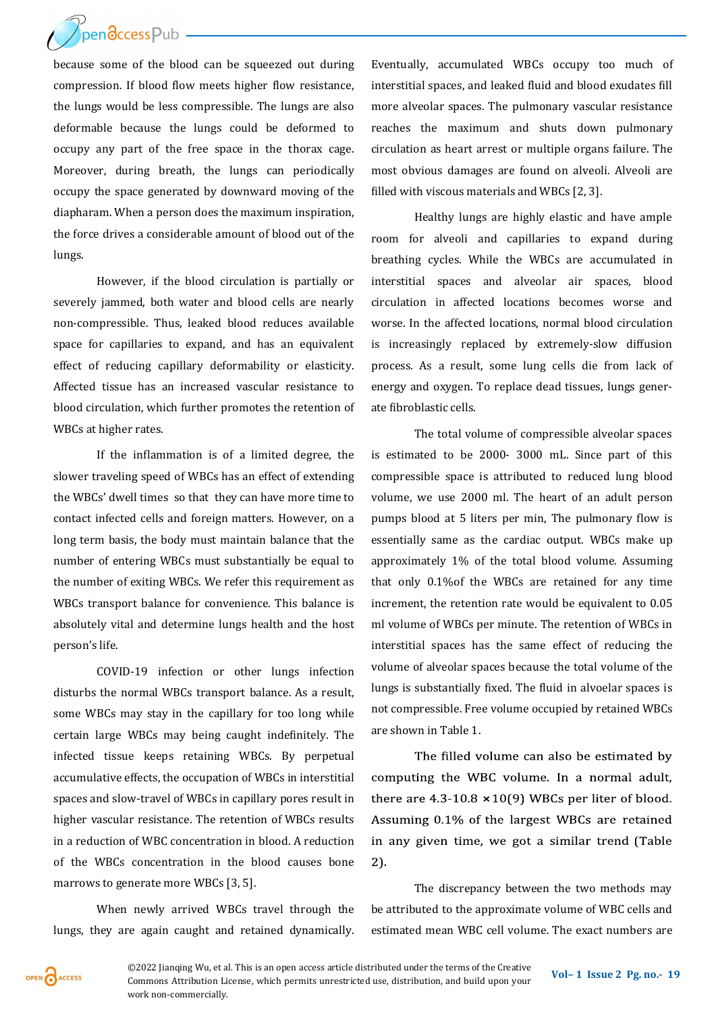

because some of the blood can be squeezed out during compression. If blood flow meets higher flow resistance, the lungs would be less compressible. The lungs are also deformable because the lungs could be deformed to occupy any part of the free space in the thorax cage. Moreover, during breath, the lungs can periodically occupy the space generated by downward moving of the diapharam. When a person does the maximum inspiration, the force drives a considerable amount of blood out of the lungs.

However, if the blood circulation is partially or severely jammed, both water and blood cells are nearly non-compressible. Thus, leaked blood reduces available space for capillaries to expand, and has an equivalent effect of reducing capillary deformability or elasticity. Affected tissue has an increased vascular resistance to blood circulation, which further promotes the retention of WBCs at higher rates.

If the inflammation is of a limited degree, the slower traveling speed of WBCs has an effect of extending the WBCs' dwell times so that they can have more time to contact infected cells and foreign matters. However, on a long term basis, the body must maintain balance that the number of entering WBCs must substantially be equal to the number of exiting WBCs. We refer this requirement as WBCs transport balance for convenience. This balance is absolutely vital and determine lungs health and the host person's life.

COVID-19 infection or other lungs infection disturbs the normal WBCs transport balance. As a result, some WBCs may stay in the capillary for too long while certain large WBCs may being caught indefinitely. The infected tissue keeps retaining WBCs. By perpetual accumulative effects, the occupation of WBCs in interstitial spaces and slow-travel of WBCs in capillary pores result in higher vascular resistance. The retention of WBCs results in a reduction of WBC concentration in blood. A reduction of the WBCs concentration in the blood causes bone marrows to generate more WBCs [3, 5].

When newly arrived WBCs travel through the lungs, they are again caught and retained dynamically. Eventually, accumulated WBCs occupy too much of interstitial spaces, and leaked fluid and blood exudates fill more alveolar spaces. The pulmonary vascular resistance reaches the maximum and shuts down pulmonary circulation as heart arrest or multiple organs failure. The most obvious damages are found on alveoli. Alveoli are filled with viscous materials and WBCs [2, 3].

Healthy lungs are highly elastic and have ample room for alveoli and capillaries to expand during breathing cycles. While the WBCs are accumulated in interstitial spaces and alveolar air spaces, blood circulation in affected locations becomes worse and worse. In the affected locations, normal blood circulation is increasingly replaced by extremely-slow diffusion process. As a result, some lung cells die from lack of energy and oxygen. To replace dead tissues, lungs generate fibroblastic cells.

The total volume of compressible alveolar spaces is estimated to be 2000- 3000 mL. Since part of this compressible space is attributed to reduced lung blood volume, we use 2000 ml. The heart of an adult person pumps blood at 5 liters per min, The pulmonary flow is essentially same as the cardiac output. WBCs make up approximately 1% of the total blood volume. Assuming that only 0.1%of the WBCs are retained for any time increment, the retention rate would be equivalent to 0.05 ml volume of WBCs per minute. The retention of WBCs in interstitial spaces has the same effect of reducing the volume of alveolar spaces because the total volume of the lungs is substantially fixed. The fluid in alvoelar spaces is not compressible. Free volume occupied by retained WBCs are shown in Table 1.

The filled volume can also be estimated by computing the WBC volume. In a normal adult, there are  $4.3 - 10.8 \times 10(9)$  WBCs per liter of blood. Assuming 0.1% of the largest WBCs are retained in any given time, we got a similar trend (Table 2).

The discrepancy between the two methods may be attributed to the approximate volume of WBC cells and estimated mean WBC cell volume. The exact numbers are

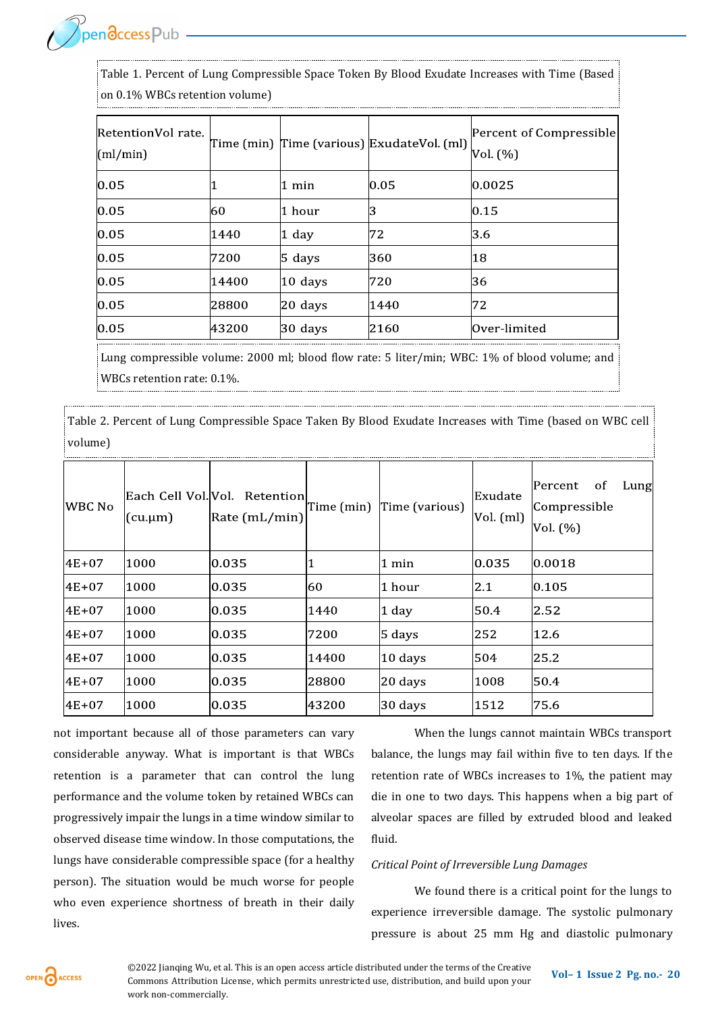Table 1. Percent of Lung Compressible Space Token By Blood Exudate Increases with Time (Based on 0.1% WBCs retention volume)

| RetentionVol rate.<br>(ml/min) |       |             | Time (min) Time (various) ExudateVol. (ml) | Percent of Compressible<br>Vol. (%) |
|--------------------------------|-------|-------------|--------------------------------------------|-------------------------------------|
| 0.05                           |       | 1 min       | 0.05                                       | 0.0025                              |
| 0.05                           | 60    | 1 hour      | IЗ                                         | 0.15                                |
| 0.05                           | 1440  | $1$ day     | 72                                         | 3.6                                 |
| 0.05                           | 7200  | $5 \; days$ | 360                                        | 18                                  |
| 0.05                           | 14400 | $10$ days   | 720                                        | 36                                  |
| 0.05                           | 28800 | $20$ days   | 1440                                       | 72                                  |
| 0.05                           | 43200 | 30 days     | 2160                                       | Over-limited                        |

Lung compressible volume: 2000 ml; blood flow rate: 5 liter/min; WBC: 1% of blood volume; and WBCs retention rate: 0.1%.

Table 2. Percent of Lung Compressible Space Taken By Blood Exudate Increases with Time (based on WBC cell volume)

| <b>WBC No</b> | Each Cell Vol. Vol.<br>$(cu.\mu m)$ | Retention<br>$\left \text{Rate (mL/min)}\right $ | Time (min) | Time (various)     | Exudate<br>Vol. (ml) | Percent<br>of<br>Lung<br>Compressible<br>Vol. (%) |
|---------------|-------------------------------------|--------------------------------------------------|------------|--------------------|----------------------|---------------------------------------------------|
| $4E + 07$     | 1000                                | 0.035                                            |            | 1 min              | 0.035                | 0.0018                                            |
| $4E + 07$     | 1000                                | 0.035                                            | 60         | 1 hour             | 2.1                  | 0.105                                             |
| $4E + 07$     | 1000                                | 0.035                                            | 1440       | 1 day              | 50.4                 | 2.52                                              |
| 4E+07         | 1000                                | 0.035                                            | 7200       | $5 \mathrm{ days}$ | 252                  | 12.6                                              |
| $4E + 07$     | 1000                                | 0.035                                            | 14400      | 10 days            | 504                  | 25.2                                              |
| $4E + 07$     | 1000                                | 0.035                                            | 28800      | 20 days            | 1008                 | 50.4                                              |
| $4E + 07$     | 1000                                | 0.035                                            | 43200      | 30 days            | 1512                 | 75.6                                              |

not important because all of those parameters can vary considerable anyway. What is important is that WBCs retention is a parameter that can control the lung performance and the volume token by retained WBCs can progressively impair the lungs in a time window similar to observed disease time window. In those computations, the lungs have considerable compressible space (for a healthy person). The situation would be much worse for people who even experience shortness of breath in their daily lives.

When the lungs cannot maintain WBCs transport balance, the lungs may fail within five to ten days. If the retention rate of WBCs increases to 1%, the patient may die in one to two days. This happens when a big part of alveolar spaces are filled by extruded blood and leaked fluid.

#### *Critical Point of Irreversible Lung Damages*

We found there is a critical point for the lungs to experience irreversible damage. The systolic pulmonary pressure is about 25 mm Hg and diastolic pulmonary



**Vol– <sup>1</sup>Issue 2 Pg. no.-<sup>20</sup>** ©2022 Jianqing Wu, et al. This is an open access article distributed under the terms of the Creative Commons Attribution License, which permits unrestricted use, distribution, and build upon your work non-commercially.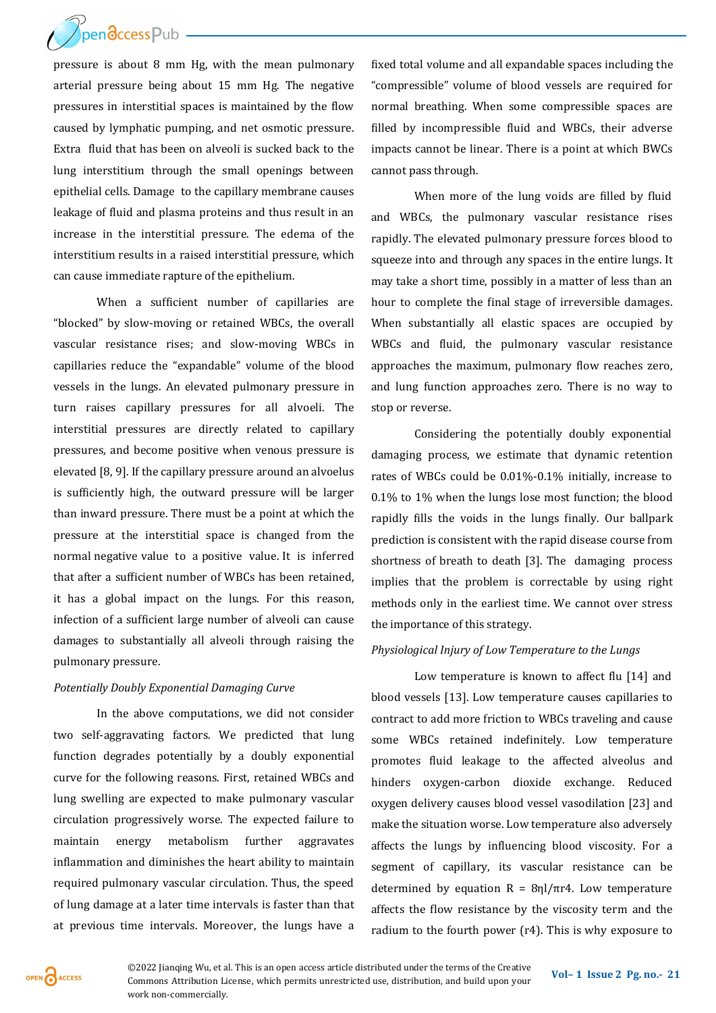

pressure is about 8 mm Hg, with the mean pulmonary arterial pressure being about 15 mm Hg. The negative pressures in interstitial spaces is maintained by the flow caused by lymphatic pumping, and net osmotic pressure. Extra fluid that has been on alveoli is sucked back to the lung interstitium through the small openings between epithelial cells. Damage to the capillary membrane causes leakage of fluid and plasma proteins and thus result in an increase in the interstitial pressure. The edema of the interstitium results in a raised interstitial pressure, which can cause immediate rapture of the epithelium.

When a sufficient number of capillaries are "blocked" by slow-moving or retained WBCs, the overall vascular resistance rises; and slow-moving WBCs in capillaries reduce the "expandable" volume of the blood vessels in the lungs. An elevated pulmonary pressure in turn raises capillary pressures for all alvoeli. The interstitial pressures are directly related to capillary pressures, and become positive when venous pressure is elevated [8, 9]. If the capillary pressure around an alvoelus is sufficiently high, the outward pressure will be larger than inward pressure. There must be a point at which the pressure at the interstitial space is changed from the normal negative value to a positive value. It is inferred that after a sufficient number of WBCs has been retained, it has a global impact on the lungs. For this reason, infection of a sufficient large number of alveoli can cause damages to substantially all alveoli through raising the pulmonary pressure.

#### *Potentially Doubly Exponential Damaging Curve*

In the above computations, we did not consider two self-aggravating factors. We predicted that lung function degrades potentially by a doubly exponential curve for the following reasons. First, retained WBCs and lung swelling are expected to make pulmonary vascular circulation progressively worse. The expected failure to maintain energy metabolism further aggravates inflammation and diminishes the heart ability to maintain required pulmonary vascular circulation. Thus, the speed of lung damage at a later time intervals is faster than that at previous time intervals. Moreover, the lungs have a

fixed total volume and all expandable spaces including the "compressible" volume of blood vessels are required for normal breathing. When some compressible spaces are filled by incompressible fluid and WBCs, their adverse impacts cannot be linear. There is a point at which BWCs cannot pass through.

When more of the lung voids are filled by fluid and WBCs, the pulmonary vascular resistance rises rapidly. The elevated pulmonary pressure forces blood to squeeze into and through any spaces in the entire lungs. It may take a short time, possibly in a matter of less than an hour to complete the final stage of irreversible damages. When substantially all elastic spaces are occupied by WBCs and fluid, the pulmonary vascular resistance approaches the maximum, pulmonary flow reaches zero, and lung function approaches zero. There is no way to stop or reverse.

Considering the potentially doubly exponential damaging process, we estimate that dynamic retention rates of WBCs could be 0.01%-0.1% initially, increase to 0.1% to 1% when the lungs lose most function; the blood rapidly fills the voids in the lungs finally. Our ballpark prediction is consistent with the rapid disease course from shortness of breath to death [3]. The damaging process implies that the problem is correctable by using right methods only in the earliest time. We cannot over stress the importance of this strategy.

#### *Physiological Injury of Low Temperature to the Lungs*

Low temperature is known to affect flu [14] and blood vessels [13]. Low temperature causes capillaries to contract to add more friction to WBCs traveling and cause some WBCs retained indefinitely. Low temperature promotes fluid leakage to the affected alveolus and hinders oxygen-carbon dioxide exchange. Reduced oxygen delivery causes blood vessel vasodilation [23] and make the situation worse. Low temperature also adversely affects the lungs by influencing blood viscosity. For a segment of capillary, its vascular resistance can be determined by equation  $R = 8ηl/πr4$ . Low temperature affects the flow resistance by the viscosity term and the radium to the fourth power (r4). This is why exposure to

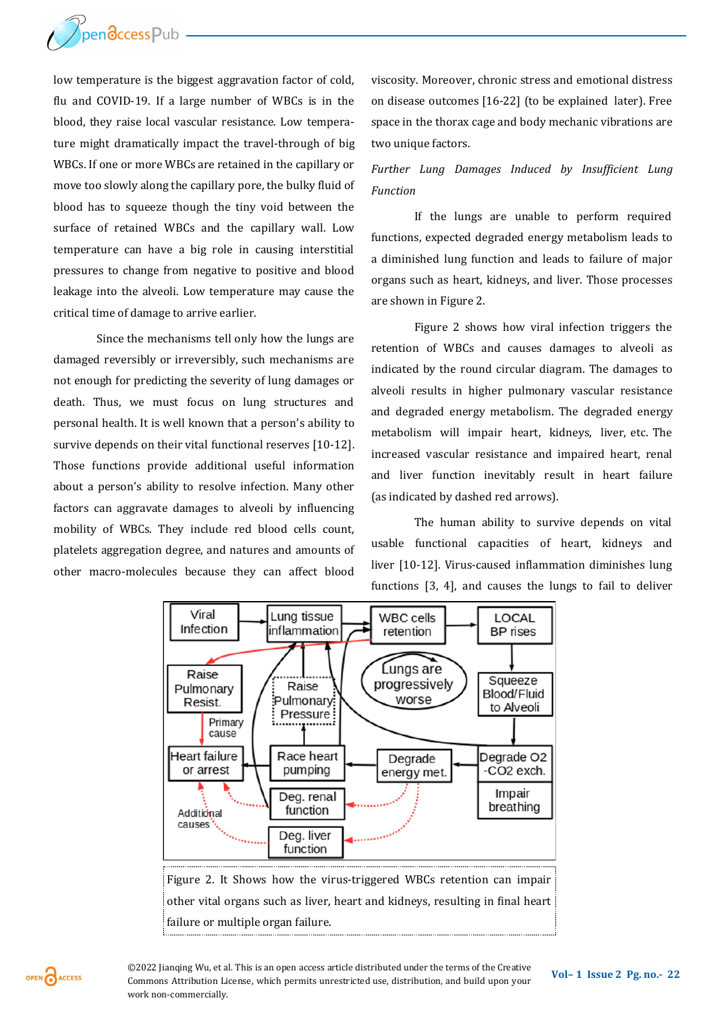

low temperature is the biggest aggravation factor of cold, flu and COVID-19. If a large number of WBCs is in the blood, they raise local vascular resistance. Low temperature might dramatically impact the travel-through of big WBCs. If one or more WBCs are retained in the capillary or move too slowly along the capillary pore, the bulky fluid of blood has to squeeze though the tiny void between the surface of retained WBCs and the capillary wall. Low temperature can have a big role in causing interstitial pressures to change from negative to positive and blood leakage into the alveoli. Low temperature may cause the critical time of damage to arrive earlier.

Since the mechanisms tell only how the lungs are damaged reversibly or irreversibly, such mechanisms are not enough for predicting the severity of lung damages or death. Thus, we must focus on lung structures and personal health. It is well known that a person's ability to survive depends on their vital functional reserves [10-12]. Those functions provide additional useful information about a person's ability to resolve infection. Many other factors can aggravate damages to alveoli by influencing mobility of WBCs. They include red blood cells count, platelets aggregation degree, and natures and amounts of other macro-molecules because they can affect blood

viscosity. Moreover, chronic stress and emotional distress on disease outcomes [16-22] (to be explained later). Free space in the thorax cage and body mechanic vibrations are two unique factors.

### *Further Lung Damages Induced by Insufficient Lung Function*

If the lungs are unable to perform required functions, expected degraded energy metabolism leads to a diminished lung function and leads to failure of major organs such as heart, kidneys, and liver. Those processes are shown in Figure 2.

Figure 2 shows how viral infection triggers the retention of WBCs and causes damages to alveoli as indicated by the round circular diagram. The damages to alveoli results in higher pulmonary vascular resistance and degraded energy metabolism. The degraded energy metabolism will impair heart, kidneys, liver, etc. The increased vascular resistance and impaired heart, renal and liver function inevitably result in heart failure (as indicated by dashed red arrows).

The human ability to survive depends on vital usable functional capacities of heart, kidneys and liver [10-12]. Virus-caused inflammation diminishes lung functions [3, 4], and causes the lungs to fail to deliver



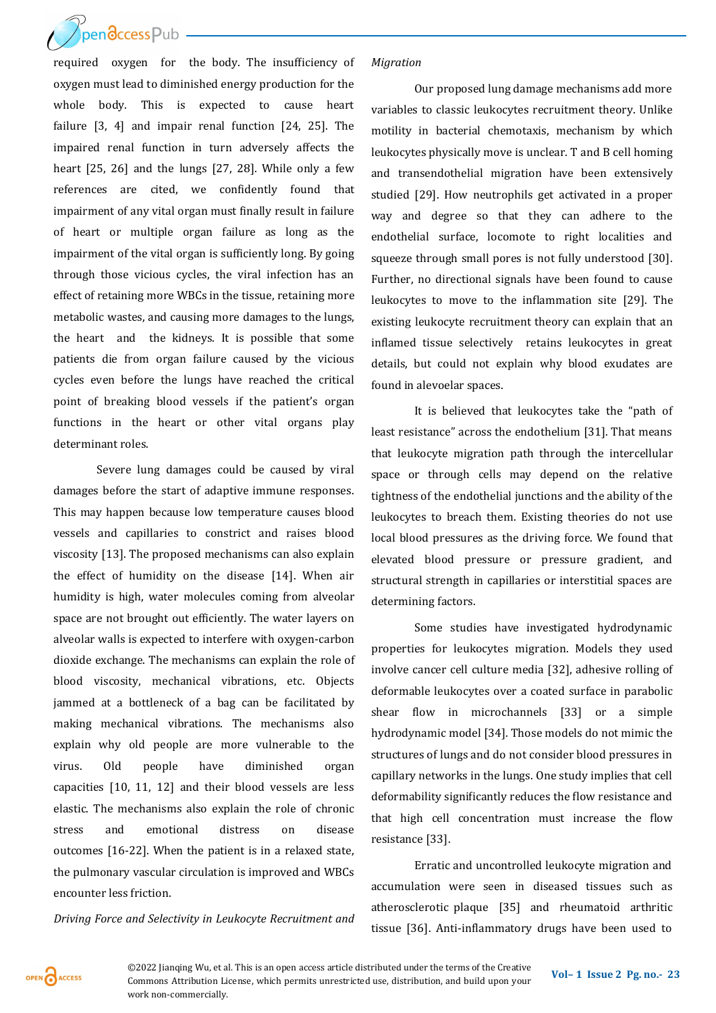[required oxygen for](http://www.openaccesspub.org/) the body. The insufficiency of oxygen must lead to diminished energy production for the whole body. This is expected to cause heart failure [3, 4] and impair renal function [24, 25]. The impaired renal function in turn adversely affects the heart [25, 26] and the lungs [27, 28]. While only a few references are cited, we confidently found that impairment of any vital organ must finally result in failure of heart or multiple organ failure as long as the impairment of the vital organ is sufficiently long. By going through those vicious cycles, the viral infection has an effect of retaining more WBCs in the tissue, retaining more metabolic wastes, and causing more damages to the lungs, the heart and the kidneys. It is possible that some patients die from organ failure caused by the vicious cycles even before the lungs have reached the critical point of breaking blood vessels if the patient's organ functions in the heart or other vital organs play determinant roles.

Severe lung damages could be caused by viral damages before the start of adaptive immune responses. This may happen because low temperature causes blood vessels and capillaries to constrict and raises blood viscosity [13]. The proposed mechanisms can also explain the effect of humidity on the disease [14]. When air humidity is high, water molecules coming from alveolar space are not brought out efficiently. The water layers on alveolar walls is expected to interfere with oxygen-carbon dioxide exchange. The mechanisms can explain the role of blood viscosity, mechanical vibrations, etc. Objects jammed at a bottleneck of a bag can be facilitated by making mechanical vibrations. The mechanisms also explain why old people are more vulnerable to the virus. Old people have diminished organ capacities [10, 11, 12] and their blood vessels are less elastic. The mechanisms also explain the role of chronic stress and emotional distress on disease outcomes [16-22]. When the patient is in a relaxed state, the pulmonary vascular circulation is improved and WBCs encounter less friction.

*Driving Force and Selectivity in Leukocyte Recruitment and* 

#### *Migration*

Our proposed lung damage mechanisms add more variables to classic leukocytes recruitment theory. Unlike motility in bacterial chemotaxis, mechanism by which leukocytes physically move is unclear. T and B cell homing and transendothelial migration have been extensively studied [29]. How neutrophils get activated in a proper way and degree so that they can adhere to the endothelial surface, locomote to right localities and squeeze through small pores is not fully understood [30]. Further, no directional signals have been found to cause leukocytes to move to the inflammation site [29]. The existing leukocyte recruitment theory can explain that an inflamed tissue selectively retains leukocytes in great details, but could not explain why blood exudates are found in alevoelar spaces.

It is believed that leukocytes take the "path of least resistance" across the endothelium [31]. That means that leukocyte migration path through the intercellular space or through cells may depend on the relative tightness of the endothelial junctions and the ability of the leukocytes to breach them. Existing theories do not use local blood pressures as the driving force. We found that elevated blood pressure or pressure gradient, and structural strength in capillaries or interstitial spaces are determining factors.

Some studies have investigated hydrodynamic properties for leukocytes migration. Models they used involve cancer cell culture media [32], adhesive rolling of deformable leukocytes over a coated surface in parabolic shear flow in microchannels [33] or a simple hydrodynamic model [34]. Those models do not mimic the structures of lungs and do not consider blood pressures in capillary networks in the lungs. One study implies that cell deformability significantly reduces the flow resistance and that high cell concentration must increase the flow resistance [33].

Erratic and uncontrolled leukocyte migration and accumulation were seen in diseased tissues such as atherosclerotic plaque [35] and rheumatoid arthritic tissue [36]. Anti-inflammatory drugs have been used to



**Vol– <sup>1</sup>Issue 2 Pg. no.-<sup>23</sup>** ©2022 Jianqing Wu, et al. This is an open access article distributed under the terms of the Creative Commons Attribution License, which permits unrestricted use, distribution, and build upon your work non-commercially.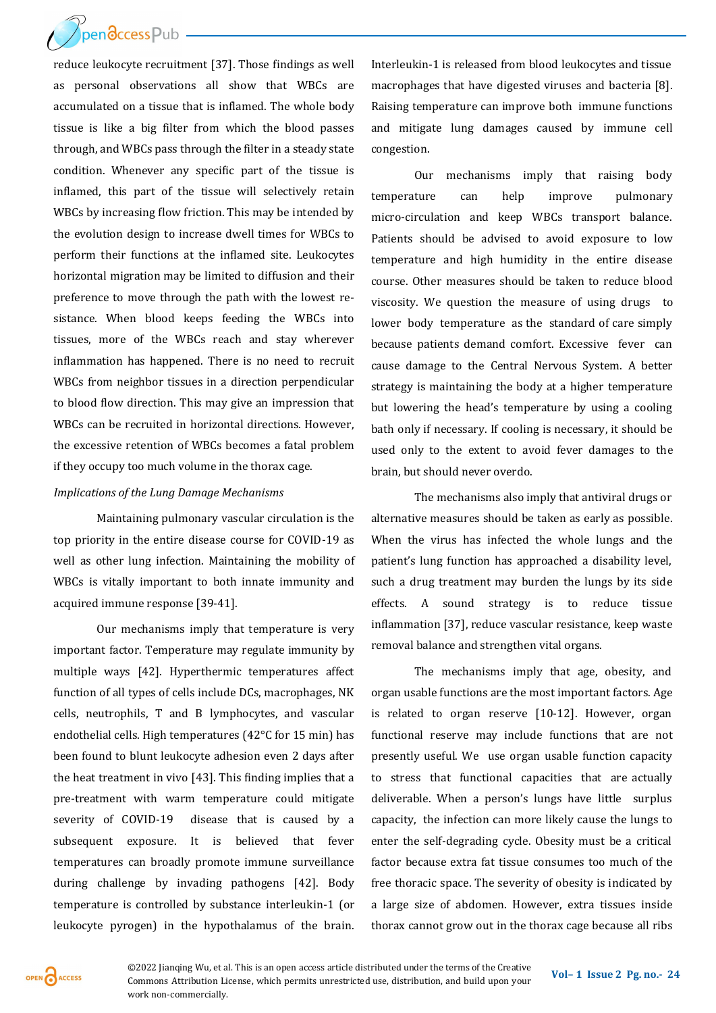reduce leukocyte recruitment [37]. Those findings as well as personal observations all show that WBCs are accumulated on a tissue that is inflamed. The whole body tissue is like a big filter from which the blood passes through, and WBCs pass through the filter in a steady state condition. Whenever any specific part of the tissue is inflamed, this part of the tissue will selectively retain WBCs by increasing flow friction. This may be intended by the evolution design to increase dwell times for WBCs to perform their functions at the inflamed site. Leukocytes horizontal migration may be limited to diffusion and their preference to move through the path with the lowest resistance. When blood keeps feeding the WBCs into tissues, more of the WBCs reach and stay wherever inflammation has happened. There is no need to recruit WBCs from neighbor tissues in a direction perpendicular to blood flow direction. This may give an impression that WBCs can be recruited in horizontal directions. However, the excessive retention of WBCs becomes a fatal problem if they occupy too much volume in the thorax cage.

#### *Implications of the Lung Damage Mechanisms*

Maintaining pulmonary vascular circulation is the top priority in the entire disease course for COVID-19 as well as other lung infection. Maintaining the mobility of WBCs is vitally important to both innate immunity and acquired immune response [39-41].

Our mechanisms imply that temperature is very important factor. Temperature may regulate immunity by multiple ways [42]. Hyperthermic temperatures affect function of all types of cells include DCs, macrophages, NK cells, neutrophils, T and B lymphocytes, and vascular endothelial cells. High temperatures (42°C for 15 min) has been found to blunt leukocyte adhesion even 2 days after the heat treatment in vivo [43]. This finding implies that a pre-treatment with warm temperature could mitigate severity of COVID-19 disease that is caused by a subsequent exposure. It is believed that fever temperatures can broadly promote immune surveillance during challenge by invading pathogens [42]. Body temperature is controlled by substance interleukin-1 (or leukocyte pyrogen) in the hypothalamus of the brain.

Interleukin-1 is released from blood leukocytes and tissue macrophages that have digested viruses and bacteria [8]. Raising temperature can improve both immune functions and mitigate lung damages caused by immune cell congestion.

Our mechanisms imply that raising body temperature can help improve pulmonary micro-circulation and keep WBCs transport balance. Patients should be advised to avoid exposure to low temperature and high humidity in the entire disease course. Other measures should be taken to reduce blood viscosity. We question the measure of using drugs to lower body temperature as the standard of care simply because patients demand comfort. Excessive fever can cause damage to the Central Nervous System. A better strategy is maintaining the body at a higher temperature but lowering the head's temperature by using a cooling bath only if necessary. If cooling is necessary, it should be used only to the extent to avoid fever damages to the brain, but should never overdo.

The mechanisms also imply that antiviral drugs or alternative measures should be taken as early as possible. When the virus has infected the whole lungs and the patient's lung function has approached a disability level, such a drug treatment may burden the lungs by its side effects. A sound strategy is to reduce tissue inflammation [37], reduce vascular resistance, keep waste removal balance and strengthen vital organs.

The mechanisms imply that age, obesity, and organ usable functions are the most important factors. Age is related to organ reserve [10-12]. However, organ functional reserve may include functions that are not presently useful. We use organ usable function capacity to stress that functional capacities that are actually deliverable. When a person's lungs have little surplus capacity, the infection can more likely cause the lungs to enter the self-degrading cycle. Obesity must be a critical factor because extra fat tissue consumes too much of the free thoracic space. The severity of obesity is indicated by a large size of abdomen. However, extra tissues inside thorax cannot grow out in the thorax cage because all ribs



**Vol– <sup>1</sup>Issue 2 Pg. no.-<sup>24</sup>** ©2022 Jianqing Wu, et al. This is an open access article distributed under the terms of the Creative Commons Attribution License, which permits unrestricted use, distribution, and build upon your work non-commercially.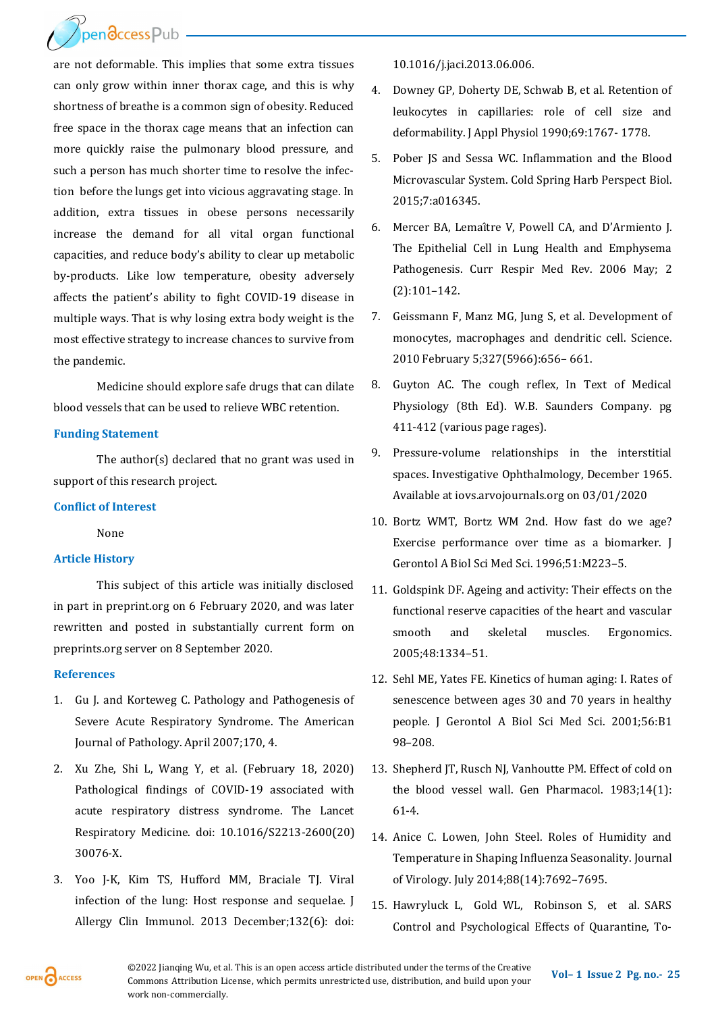are not deformable. This implies that some extra tissues can only grow within inner thorax cage, and this is why shortness of breathe is a common sign of obesity. Reduced free space in the thorax cage means that an infection can more quickly raise the pulmonary blood pressure, and such a person has much shorter time to resolve the infection before the lungs get into vicious aggravating stage. In addition, extra tissues in obese persons necessarily increase the demand for all vital organ functional capacities, and reduce body's ability to clear up metabolic by-products. Like low temperature, obesity adversely affects the patient's ability to fight COVID-19 disease in multiple ways. That is why losing extra body weight is the most effective strategy to increase chances to survive from the pandemic.

Medicine should explore safe drugs that can dilate blood vessels that can be used to relieve WBC retention.

#### **Funding Statement**

The author(s) declared that no grant was used in support of this research project.

#### **Conflict of Interest**

#### None

#### **Article History**

This subject of this article was initially disclosed in part in preprint.org on 6 February 2020, and was later rewritten and posted in substantially current form on preprints.org server on 8 September 2020.

#### **References**

- 1. Gu J. and Korteweg C. Pathology and Pathogenesis of Severe Acute Respiratory Syndrome. The American Journal of Pathology. April 2007;170, 4.
- 2. Xu Zhe, Shi L, Wang Y, et al. (February 18, 2020) Pathological findings of COVID-19 associated with acute respiratory distress syndrome. The Lancet Respiratory Medicine. doi: 10.1016/S2213-2600(20) 30076-X.
- 3. Yoo J-K, Kim TS, Hufford MM, Braciale TJ. Viral infection of the lung: Host response and sequelae. J Allergy Clin Immunol. 2013 December;132(6): doi:

10.1016/j.jaci.2013.06.006.

- 4. Downey GP, Doherty DE, Schwab B, et al. Retention of leukocytes in capillaries: role of cell size and deformability. J Appl Physiol 1990;69:1767- 1778.
- 5. Pober JS and Sessa WC. Inflammation and the Blood Microvascular System. Cold Spring Harb Perspect Biol. 2015;7:a016345.
- 6. Mercer BA, Lemaître V, Powell CA, and D'Armiento J. The Epithelial Cell in Lung Health and Emphysema Pathogenesis. Curr Respir Med Rev. 2006 May; 2 (2):101–142.
- 7. Geissmann F, Manz MG, Jung S, et al. Development of monocytes, macrophages and dendritic cell. Science. 2010 February 5;327(5966):656– 661.
- 8. Guyton AC. The cough reflex, In Text of Medical Physiology (8th Ed). W.B. Saunders Company. pg 411-412 (various page rages).
- 9. Pressure-volume relationships in the interstitial spaces. Investigative Ophthalmology, December 1965. Available at iovs.arvojournals.org on 03/01/2020
- 10. Bortz WMT, Bortz WM 2nd. How fast do we age? Exercise performance over time as a biomarker. J Gerontol A Biol Sci Med Sci. 1996;51:M223–5.
- 11. Goldspink DF. Ageing and activity: Their effects on the functional reserve capacities of the heart and vascular smooth and skeletal muscles. Ergonomics. 2005;48:1334–51.
- 12. Sehl ME, Yates FE. Kinetics of human aging: I. Rates of senescence between ages 30 and 70 years in healthy people. J Gerontol A Biol Sci Med Sci. 2001;56:B1 98–208.
- 13. Shepherd JT, Rusch NJ, Vanhoutte PM. Effect of cold on the blood vessel wall. Gen Pharmacol. 1983;14(1): 61-4.
- 14. Anice C. Lowen, John Steel. Roles of Humidity and Temperature in Shaping Influenza Seasonality. Journal of Virology. July 2014;88(14):7692–7695.
- 15. Hawryluck L, Gold WL, Robinson S, et al. SARS Control and Psychological Effects of Quarantine, To-

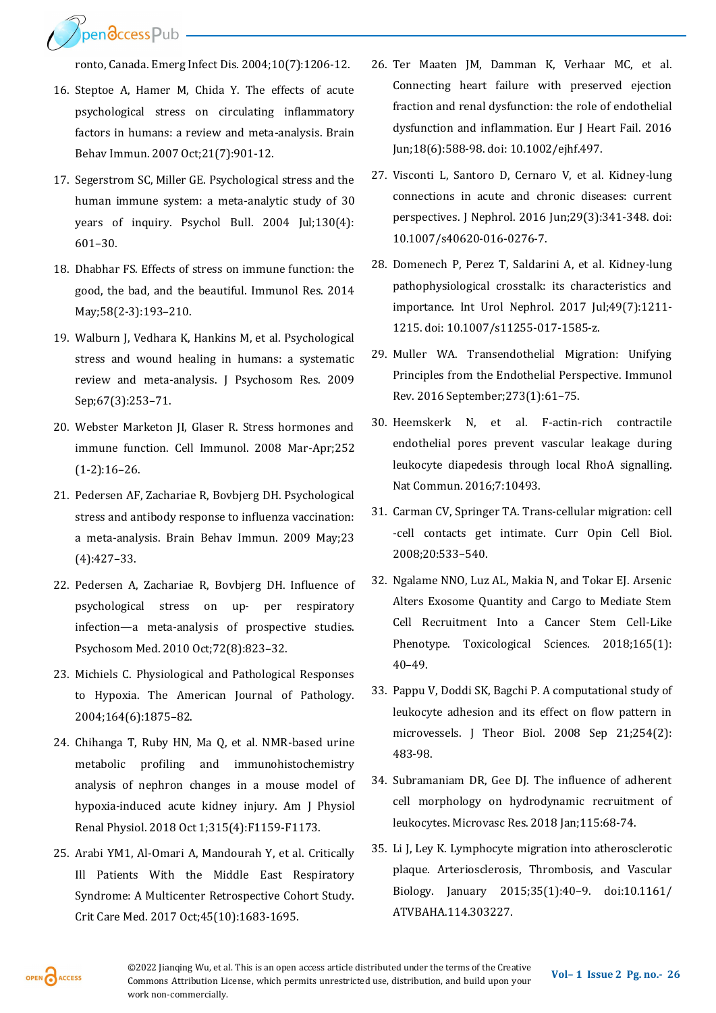**PrendccessPub** 

ronto, Canada. Emerg Infect Dis. 2004;10(7):1206-12.

- 16. Steptoe A, Hamer M, Chida Y. The effects of acute psychological stress on circulating inflammatory factors in humans: a review and meta-analysis. Brain Behav Immun. 2007 Oct;21(7):901-12.
- 17. Segerstrom SC, Miller GE. Psychological stress and the human immune system: a meta-analytic study of 30 years of inquiry. Psychol Bull. 2004 Jul;130(4): 601–30.
- 18. Dhabhar FS. Effects of stress on immune function: the good, the bad, and the beautiful. Immunol Res. 2014 May;58(2-3):193–210.
- 19. Walburn J, Vedhara K, Hankins M, et al. Psychological stress and wound healing in humans: a systematic review and meta-analysis. J Psychosom Res. 2009 Sep;67(3):253–71.
- 20. Webster Marketon JI, Glaser R. Stress hormones and immune function. Cell Immunol. 2008 Mar-Apr;252 (1-2):16–26.
- 21. Pedersen AF, Zachariae R, Bovbjerg DH. Psychological stress and antibody response to influenza vaccination: a meta-analysis. Brain Behav Immun. 2009 May;23 (4):427–33.
- 22. Pedersen A, Zachariae R, Bovbjerg DH. Influence of psychological stress on up- per respiratory infection—a meta-analysis of prospective studies. Psychosom Med. 2010 Oct;72(8):823–32.
- 23. Michiels C. Physiological and Pathological Responses to Hypoxia. The American Journal of Pathology. 2004;164(6):1875–82.
- 24. Chihanga T, Ruby HN, Ma Q, et al. NMR-based urine metabolic profiling and immunohistochemistry analysis of nephron changes in a mouse model of hypoxia-induced acute kidney injury. Am J Physiol Renal Physiol. 2018 Oct 1;315(4):F1159-F1173.
- 25. Arabi YM1, Al-Omari A, Mandourah Y, et al. Critically Ill Patients With the Middle East Respiratory Syndrome: A Multicenter Retrospective Cohort Study. Crit Care Med. 2017 Oct;45(10):1683-1695.
- 26. Ter Maaten JM, Damman K, Verhaar MC, et al. Connecting heart failure with preserved ejection fraction and renal dysfunction: the role of endothelial dysfunction and inflammation. Eur J Heart Fail. 2016 Jun;18(6):588-98. doi: 10.1002/ejhf.497.
- 27. Visconti L, Santoro D, Cernaro V, et al. Kidney-lung connections in acute and chronic diseases: current perspectives. J Nephrol. 2016 Jun;29(3):341-348. doi: 10.1007/s40620-016-0276-7.
- 28. Domenech P, Perez T, Saldarini A, et al. Kidney-lung pathophysiological crosstalk: its characteristics and importance. Int Urol Nephrol. 2017 Jul;49(7):1211- 1215. doi: 10.1007/s11255-017-1585-z.
- 29. Muller WA. Transendothelial Migration: Unifying Principles from the Endothelial Perspective. Immunol Rev. 2016 September;273(1):61–75.
- 30. Heemskerk N, et al. F-actin-rich contractile endothelial pores prevent vascular leakage during leukocyte diapedesis through local RhoA signalling. Nat Commun. 2016;7:10493.
- 31. Carman CV, Springer TA. Trans-cellular migration: cell -cell contacts get intimate. Curr Opin Cell Biol. 2008;20:533–540.
- 32. Ngalame NNO, Luz AL, Makia N, and Tokar EJ. Arsenic Alters Exosome Quantity and Cargo to Mediate Stem Cell Recruitment Into a Cancer Stem Cell-Like Phenotype. Toxicological Sciences. 2018;165(1): 40–49.
- 33. Pappu V, Doddi SK, Bagchi P. A computational study of leukocyte adhesion and its effect on flow pattern in microvessels. J Theor Biol. 2008 Sep 21;254(2): 483-98.
- 34. Subramaniam DR, Gee DJ. The influence of adherent cell morphology on hydrodynamic recruitment of leukocytes. Microvasc Res. 2018 Jan;115:68-74.
- 35. Li J, Ley K. Lymphocyte migration into atherosclerotic plaque. Arteriosclerosis, Thrombosis, and Vascular Biology. January 2015;35(1):40–9. doi:10.1161/ ATVBAHA.114.303227.